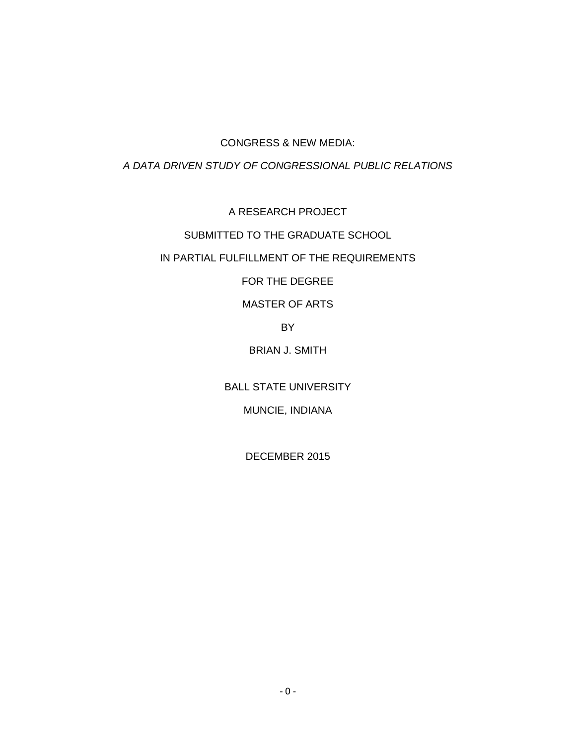## CONGRESS & NEW MEDIA:

## *A DATA DRIVEN STUDY OF CONGRESSIONAL PUBLIC RELATIONS*

A RESEARCH PROJECT

# SUBMITTED TO THE GRADUATE SCHOOL

# IN PARTIAL FULFILLMENT OF THE REQUIREMENTS

FOR THE DEGREE

# MASTER OF ARTS

BY

# BRIAN J. SMITH

BALL STATE UNIVERSITY

# MUNCIE, INDIANA

DECEMBER 2015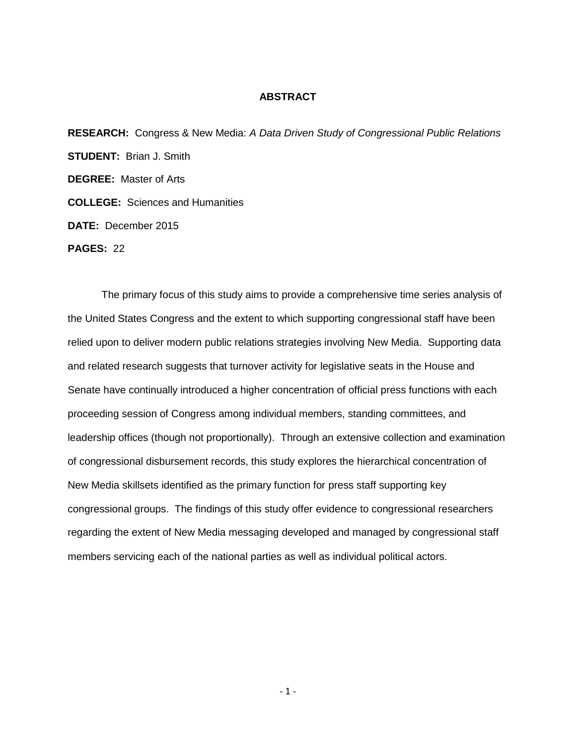### **ABSTRACT**

**RESEARCH:** Congress & New Media: *A Data Driven Study of Congressional Public Relations* **STUDENT:** Brian J. Smith **DEGREE:** Master of Arts **COLLEGE:** Sciences and Humanities **DATE:** December 2015

**PAGES:** 22

The primary focus of this study aims to provide a comprehensive time series analysis of the United States Congress and the extent to which supporting congressional staff have been relied upon to deliver modern public relations strategies involving New Media. Supporting data and related research suggests that turnover activity for legislative seats in the House and Senate have continually introduced a higher concentration of official press functions with each proceeding session of Congress among individual members, standing committees, and leadership offices (though not proportionally). Through an extensive collection and examination of congressional disbursement records, this study explores the hierarchical concentration of New Media skillsets identified as the primary function for press staff supporting key congressional groups. The findings of this study offer evidence to congressional researchers regarding the extent of New Media messaging developed and managed by congressional staff members servicing each of the national parties as well as individual political actors.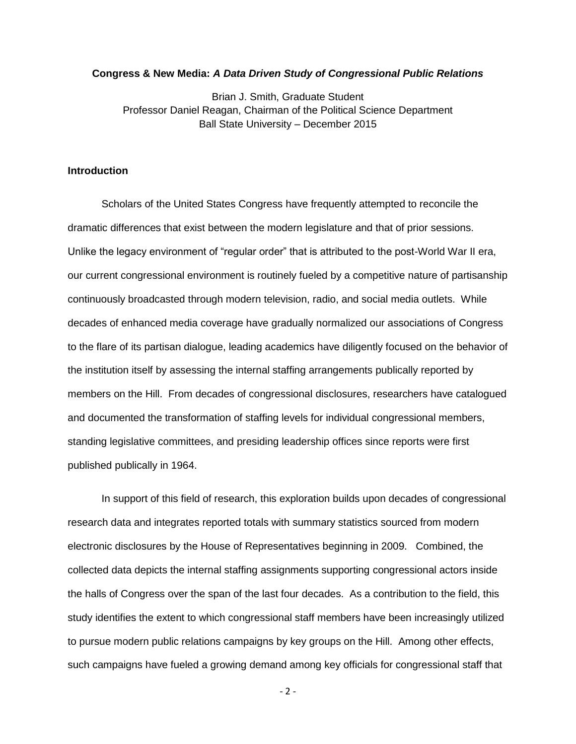### **Congress & New Media:** *A Data Driven Study of Congressional Public Relations*

Brian J. Smith, Graduate Student Professor Daniel Reagan, Chairman of the Political Science Department Ball State University – December 2015

### **Introduction**

Scholars of the United States Congress have frequently attempted to reconcile the dramatic differences that exist between the modern legislature and that of prior sessions. Unlike the legacy environment of "regular order" that is attributed to the post-World War II era, our current congressional environment is routinely fueled by a competitive nature of partisanship continuously broadcasted through modern television, radio, and social media outlets. While decades of enhanced media coverage have gradually normalized our associations of Congress to the flare of its partisan dialogue, leading academics have diligently focused on the behavior of the institution itself by assessing the internal staffing arrangements publically reported by members on the Hill. From decades of congressional disclosures, researchers have catalogued and documented the transformation of staffing levels for individual congressional members, standing legislative committees, and presiding leadership offices since reports were first published publically in 1964.

In support of this field of research, this exploration builds upon decades of congressional research data and integrates reported totals with summary statistics sourced from modern electronic disclosures by the House of Representatives beginning in 2009. Combined, the collected data depicts the internal staffing assignments supporting congressional actors inside the halls of Congress over the span of the last four decades. As a contribution to the field, this study identifies the extent to which congressional staff members have been increasingly utilized to pursue modern public relations campaigns by key groups on the Hill. Among other effects, such campaigns have fueled a growing demand among key officials for congressional staff that

 $-2 -$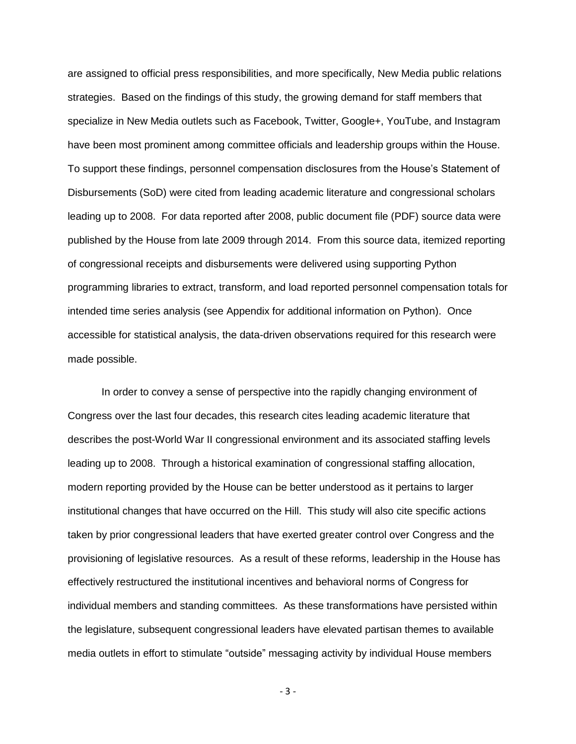are assigned to official press responsibilities, and more specifically, New Media public relations strategies. Based on the findings of this study, the growing demand for staff members that specialize in New Media outlets such as Facebook, Twitter, Google+, YouTube, and Instagram have been most prominent among committee officials and leadership groups within the House. To support these findings, personnel compensation disclosures from the House's Statement of Disbursements (SoD) were cited from leading academic literature and congressional scholars leading up to 2008. For data reported after 2008, public document file (PDF) source data were published by the House from late 2009 through 2014. From this source data, itemized reporting of congressional receipts and disbursements were delivered using supporting Python programming libraries to extract, transform, and load reported personnel compensation totals for intended time series analysis (see Appendix for additional information on Python). Once accessible for statistical analysis, the data-driven observations required for this research were made possible.

In order to convey a sense of perspective into the rapidly changing environment of Congress over the last four decades, this research cites leading academic literature that describes the post-World War II congressional environment and its associated staffing levels leading up to 2008. Through a historical examination of congressional staffing allocation, modern reporting provided by the House can be better understood as it pertains to larger institutional changes that have occurred on the Hill. This study will also cite specific actions taken by prior congressional leaders that have exerted greater control over Congress and the provisioning of legislative resources. As a result of these reforms, leadership in the House has effectively restructured the institutional incentives and behavioral norms of Congress for individual members and standing committees. As these transformations have persisted within the legislature, subsequent congressional leaders have elevated partisan themes to available media outlets in effort to stimulate "outside" messaging activity by individual House members

- 3 -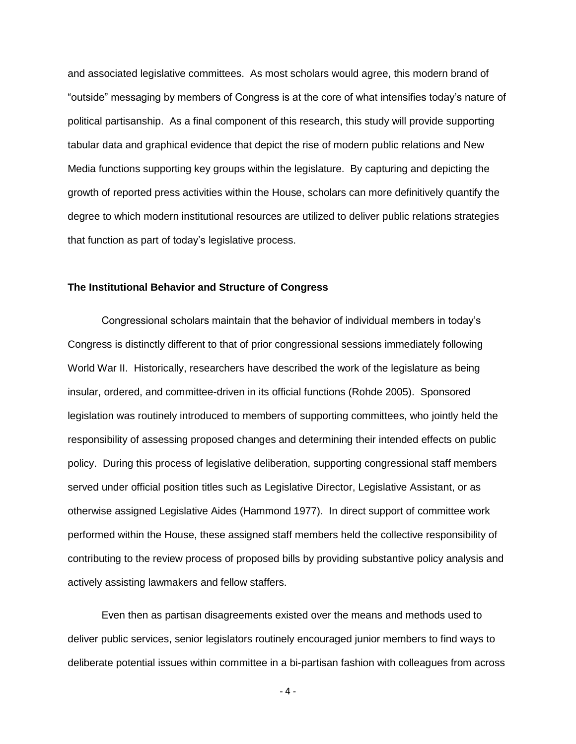and associated legislative committees. As most scholars would agree, this modern brand of "outside" messaging by members of Congress is at the core of what intensifies today's nature of political partisanship. As a final component of this research, this study will provide supporting tabular data and graphical evidence that depict the rise of modern public relations and New Media functions supporting key groups within the legislature. By capturing and depicting the growth of reported press activities within the House, scholars can more definitively quantify the degree to which modern institutional resources are utilized to deliver public relations strategies that function as part of today's legislative process.

#### **The Institutional Behavior and Structure of Congress**

Congressional scholars maintain that the behavior of individual members in today's Congress is distinctly different to that of prior congressional sessions immediately following World War II. Historically, researchers have described the work of the legislature as being insular, ordered, and committee-driven in its official functions (Rohde 2005). Sponsored legislation was routinely introduced to members of supporting committees, who jointly held the responsibility of assessing proposed changes and determining their intended effects on public policy. During this process of legislative deliberation, supporting congressional staff members served under official position titles such as Legislative Director, Legislative Assistant, or as otherwise assigned Legislative Aides (Hammond 1977). In direct support of committee work performed within the House, these assigned staff members held the collective responsibility of contributing to the review process of proposed bills by providing substantive policy analysis and actively assisting lawmakers and fellow staffers.

Even then as partisan disagreements existed over the means and methods used to deliver public services, senior legislators routinely encouraged junior members to find ways to deliberate potential issues within committee in a bi-partisan fashion with colleagues from across

- 4 -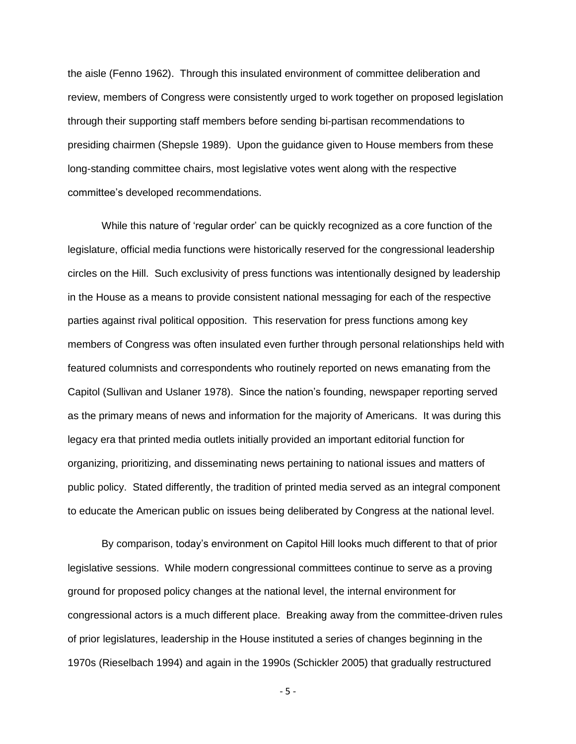the aisle (Fenno 1962). Through this insulated environment of committee deliberation and review, members of Congress were consistently urged to work together on proposed legislation through their supporting staff members before sending bi-partisan recommendations to presiding chairmen (Shepsle 1989). Upon the guidance given to House members from these long-standing committee chairs, most legislative votes went along with the respective committee's developed recommendations.

While this nature of 'regular order' can be quickly recognized as a core function of the legislature, official media functions were historically reserved for the congressional leadership circles on the Hill. Such exclusivity of press functions was intentionally designed by leadership in the House as a means to provide consistent national messaging for each of the respective parties against rival political opposition. This reservation for press functions among key members of Congress was often insulated even further through personal relationships held with featured columnists and correspondents who routinely reported on news emanating from the Capitol (Sullivan and Uslaner 1978). Since the nation's founding, newspaper reporting served as the primary means of news and information for the majority of Americans. It was during this legacy era that printed media outlets initially provided an important editorial function for organizing, prioritizing, and disseminating news pertaining to national issues and matters of public policy. Stated differently, the tradition of printed media served as an integral component to educate the American public on issues being deliberated by Congress at the national level.

By comparison, today's environment on Capitol Hill looks much different to that of prior legislative sessions. While modern congressional committees continue to serve as a proving ground for proposed policy changes at the national level, the internal environment for congressional actors is a much different place. Breaking away from the committee-driven rules of prior legislatures, leadership in the House instituted a series of changes beginning in the 1970s (Rieselbach 1994) and again in the 1990s (Schickler 2005) that gradually restructured

- 5 -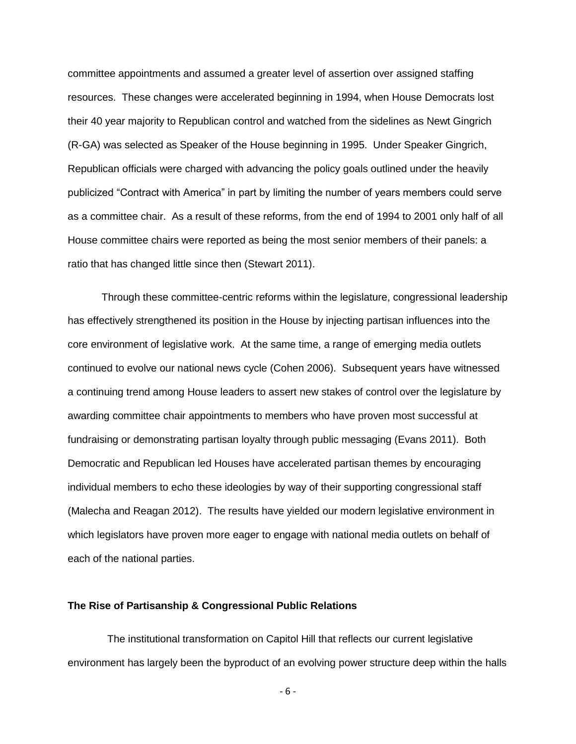committee appointments and assumed a greater level of assertion over assigned staffing resources. These changes were accelerated beginning in 1994, when House Democrats lost their 40 year majority to Republican control and watched from the sidelines as Newt Gingrich (R-GA) was selected as Speaker of the House beginning in 1995. Under Speaker Gingrich, Republican officials were charged with advancing the policy goals outlined under the heavily publicized "Contract with America" in part by limiting the number of years members could serve as a committee chair. As a result of these reforms, from the end of 1994 to 2001 only half of all House committee chairs were reported as being the most senior members of their panels: a ratio that has changed little since then (Stewart 2011).

Through these committee-centric reforms within the legislature, congressional leadership has effectively strengthened its position in the House by injecting partisan influences into the core environment of legislative work. At the same time, a range of emerging media outlets continued to evolve our national news cycle (Cohen 2006). Subsequent years have witnessed a continuing trend among House leaders to assert new stakes of control over the legislature by awarding committee chair appointments to members who have proven most successful at fundraising or demonstrating partisan loyalty through public messaging (Evans 2011). Both Democratic and Republican led Houses have accelerated partisan themes by encouraging individual members to echo these ideologies by way of their supporting congressional staff (Malecha and Reagan 2012). The results have yielded our modern legislative environment in which legislators have proven more eager to engage with national media outlets on behalf of each of the national parties.

### **The Rise of Partisanship & Congressional Public Relations**

 The institutional transformation on Capitol Hill that reflects our current legislative environment has largely been the byproduct of an evolving power structure deep within the halls

- 6 -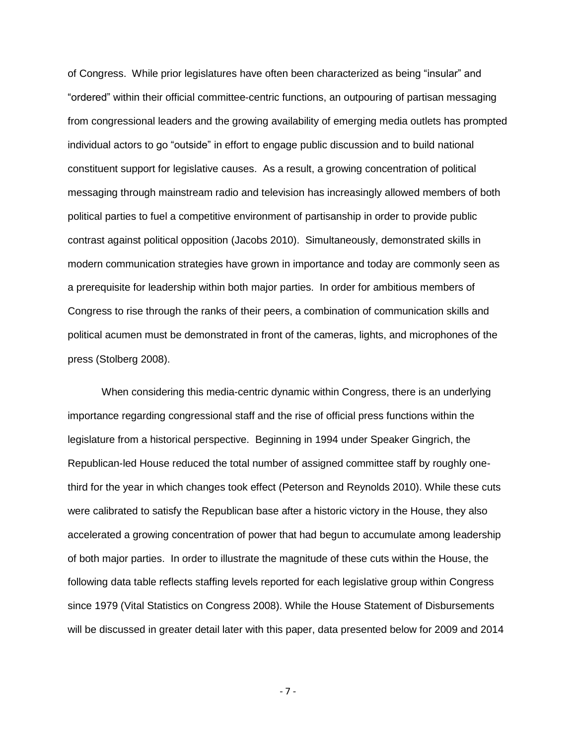of Congress. While prior legislatures have often been characterized as being "insular" and "ordered" within their official committee-centric functions, an outpouring of partisan messaging from congressional leaders and the growing availability of emerging media outlets has prompted individual actors to go "outside" in effort to engage public discussion and to build national constituent support for legislative causes. As a result, a growing concentration of political messaging through mainstream radio and television has increasingly allowed members of both political parties to fuel a competitive environment of partisanship in order to provide public contrast against political opposition (Jacobs 2010). Simultaneously, demonstrated skills in modern communication strategies have grown in importance and today are commonly seen as a prerequisite for leadership within both major parties. In order for ambitious members of Congress to rise through the ranks of their peers, a combination of communication skills and political acumen must be demonstrated in front of the cameras, lights, and microphones of the press (Stolberg 2008).

When considering this media-centric dynamic within Congress, there is an underlying importance regarding congressional staff and the rise of official press functions within the legislature from a historical perspective. Beginning in 1994 under Speaker Gingrich, the Republican-led House reduced the total number of assigned committee staff by roughly onethird for the year in which changes took effect (Peterson and Reynolds 2010). While these cuts were calibrated to satisfy the Republican base after a historic victory in the House, they also accelerated a growing concentration of power that had begun to accumulate among leadership of both major parties. In order to illustrate the magnitude of these cuts within the House, the following data table reflects staffing levels reported for each legislative group within Congress since 1979 (Vital Statistics on Congress 2008). While the House Statement of Disbursements will be discussed in greater detail later with this paper, data presented below for 2009 and 2014

- 7 -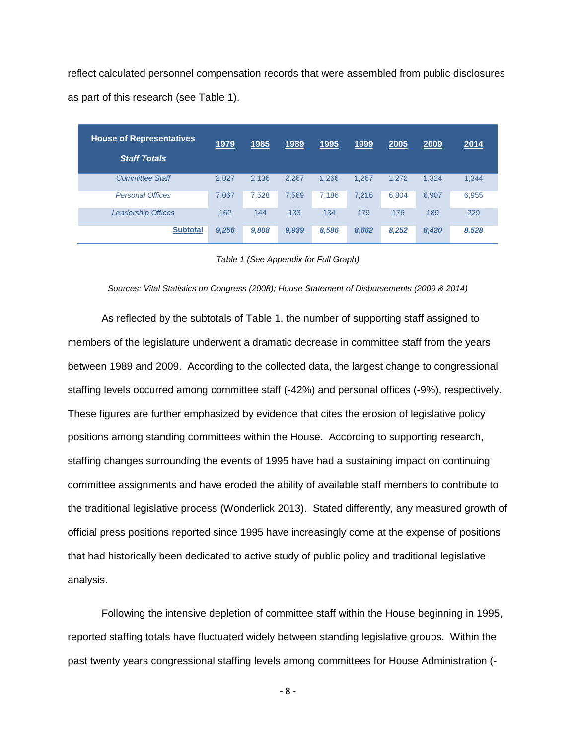reflect calculated personnel compensation records that were assembled from public disclosures as part of this research (see Table 1).

| <b>House of Representatives</b><br><b>Staff Totals</b> | <u>1979</u> | <u>1985</u> | 1989  | <u>1995</u> | <u>1999</u> | 2005  | 2009  | 2014  |
|--------------------------------------------------------|-------------|-------------|-------|-------------|-------------|-------|-------|-------|
| <b>Committee Staff</b>                                 | 2.027       | 2.136       | 2.267 | 1.266       | 1.267       | 1.272 | 1.324 | 1,344 |
| <b>Personal Offices</b>                                | 7,067       | 7.528       | 7.569 | 7,186       | 7.216       | 6,804 | 6.907 | 6,955 |
| <b>Leadership Offices</b>                              | 162         | 144         | 133   | 134         | 179         | 176   | 189   | 229   |
| <b>Subtotal</b>                                        | 9,256       | 9,808       | 9,939 | 8,586       | 8,662       | 8,252 | 8,420 | 8,528 |

*Table 1 (See Appendix for Full Graph)*

#### *Sources: Vital Statistics on Congress (2008); House Statement of Disbursements (2009 & 2014)*

As reflected by the subtotals of Table 1, the number of supporting staff assigned to members of the legislature underwent a dramatic decrease in committee staff from the years between 1989 and 2009. According to the collected data, the largest change to congressional staffing levels occurred among committee staff (-42%) and personal offices (-9%), respectively. These figures are further emphasized by evidence that cites the erosion of legislative policy positions among standing committees within the House. According to supporting research, staffing changes surrounding the events of 1995 have had a sustaining impact on continuing committee assignments and have eroded the ability of available staff members to contribute to the traditional legislative process (Wonderlick 2013). Stated differently, any measured growth of official press positions reported since 1995 have increasingly come at the expense of positions that had historically been dedicated to active study of public policy and traditional legislative analysis.

Following the intensive depletion of committee staff within the House beginning in 1995, reported staffing totals have fluctuated widely between standing legislative groups. Within the past twenty years congressional staffing levels among committees for House Administration (-

- 8 -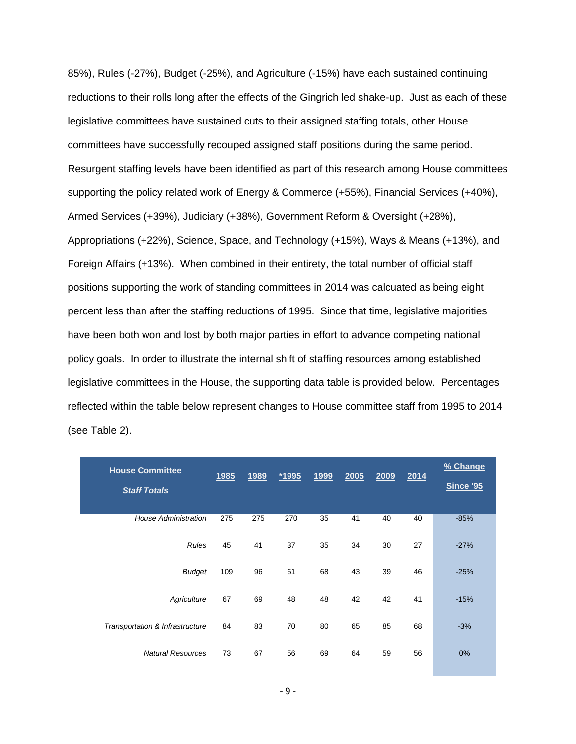85%), Rules (-27%), Budget (-25%), and Agriculture (-15%) have each sustained continuing reductions to their rolls long after the effects of the Gingrich led shake-up. Just as each of these legislative committees have sustained cuts to their assigned staffing totals, other House committees have successfully recouped assigned staff positions during the same period. Resurgent staffing levels have been identified as part of this research among House committees supporting the policy related work of Energy & Commerce (+55%), Financial Services (+40%), Armed Services (+39%), Judiciary (+38%), Government Reform & Oversight (+28%), Appropriations (+22%), Science, Space, and Technology (+15%), Ways & Means (+13%), and Foreign Affairs (+13%). When combined in their entirety, the total number of official staff positions supporting the work of standing committees in 2014 was calcuated as being eight percent less than after the staffing reductions of 1995. Since that time, legislative majorities have been both won and lost by both major parties in effort to advance competing national policy goals. In order to illustrate the internal shift of staffing resources among established legislative committees in the House, the supporting data table is provided below. Percentages reflected within the table below represent changes to House committee staff from 1995 to 2014 (see Table 2).

| <b>House Committee</b><br><b>Staff Totals</b> | <u>1985</u> | <u>1989</u> | <u>*1995</u> | <u>1999</u> | 2005 | 2009 | 2014 | % Change<br><b>Since '95</b> |
|-----------------------------------------------|-------------|-------------|--------------|-------------|------|------|------|------------------------------|
| <b>House Administration</b>                   | 275         | 275         | 270          | 35          | 41   | 40   | 40   | $-85%$                       |
| <b>Rules</b>                                  | 45          | 41          | 37           | 35          | 34   | 30   | 27   | $-27%$                       |
| <b>Budget</b>                                 | 109         | 96          | 61           | 68          | 43   | 39   | 46   | $-25%$                       |
| Agriculture                                   | 67          | 69          | 48           | 48          | 42   | 42   | 41   | $-15%$                       |
| Transportation & Infrastructure               | 84          | 83          | 70           | 80          | 65   | 85   | 68   | $-3%$                        |
| <b>Natural Resources</b>                      | 73          | 67          | 56           | 69          | 64   | 59   | 56   | 0%                           |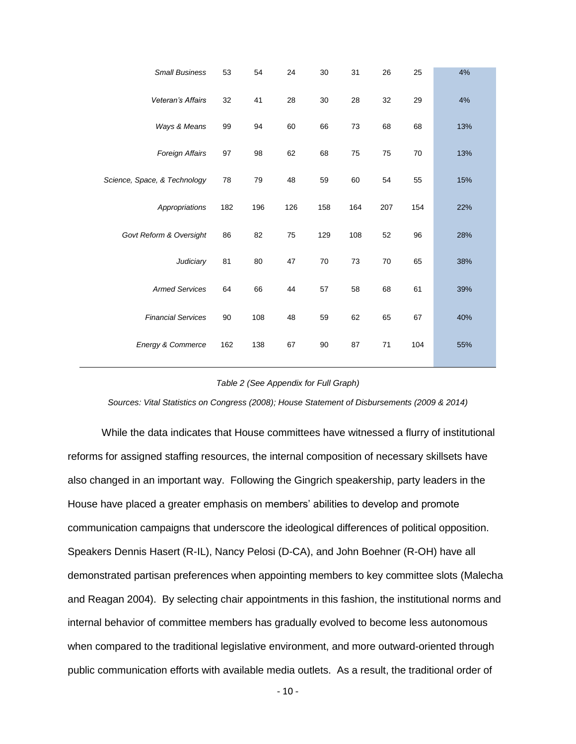| <b>Small Business</b>        | 53  | 54  | 24  | 30     | 31  | 26  | 25  | 4%  |
|------------------------------|-----|-----|-----|--------|-----|-----|-----|-----|
| Veteran's Affairs            | 32  | 41  | 28  | 30     | 28  | 32  | 29  | 4%  |
| Ways & Means                 | 99  | 94  | 60  | 66     | 73  | 68  | 68  | 13% |
| Foreign Affairs              | 97  | 98  | 62  | 68     | 75  | 75  | 70  | 13% |
| Science, Space, & Technology | 78  | 79  | 48  | 59     | 60  | 54  | 55  | 15% |
| Appropriations               | 182 | 196 | 126 | 158    | 164 | 207 | 154 | 22% |
| Govt Reform & Oversight      | 86  | 82  | 75  | 129    | 108 | 52  | 96  | 28% |
| Judiciary                    | 81  | 80  | 47  | 70     | 73  | 70  | 65  | 38% |
| <b>Armed Services</b>        | 64  | 66  | 44  | 57     | 58  | 68  | 61  | 39% |
| <b>Financial Services</b>    | 90  | 108 | 48  | 59     | 62  | 65  | 67  | 40% |
| Energy & Commerce            | 162 | 138 | 67  | $90\,$ | 87  | 71  | 104 | 55% |
|                              |     |     |     |        |     |     |     |     |

#### *Table 2 (See Appendix for Full Graph)*

*Sources: Vital Statistics on Congress (2008); House Statement of Disbursements (2009 & 2014)*

While the data indicates that House committees have witnessed a flurry of institutional reforms for assigned staffing resources, the internal composition of necessary skillsets have also changed in an important way. Following the Gingrich speakership, party leaders in the House have placed a greater emphasis on members' abilities to develop and promote communication campaigns that underscore the ideological differences of political opposition. Speakers Dennis Hasert (R-IL), Nancy Pelosi (D-CA), and John Boehner (R-OH) have all demonstrated partisan preferences when appointing members to key committee slots (Malecha and Reagan 2004). By selecting chair appointments in this fashion, the institutional norms and internal behavior of committee members has gradually evolved to become less autonomous when compared to the traditional legislative environment, and more outward-oriented through public communication efforts with available media outlets. As a result, the traditional order of

- 10 -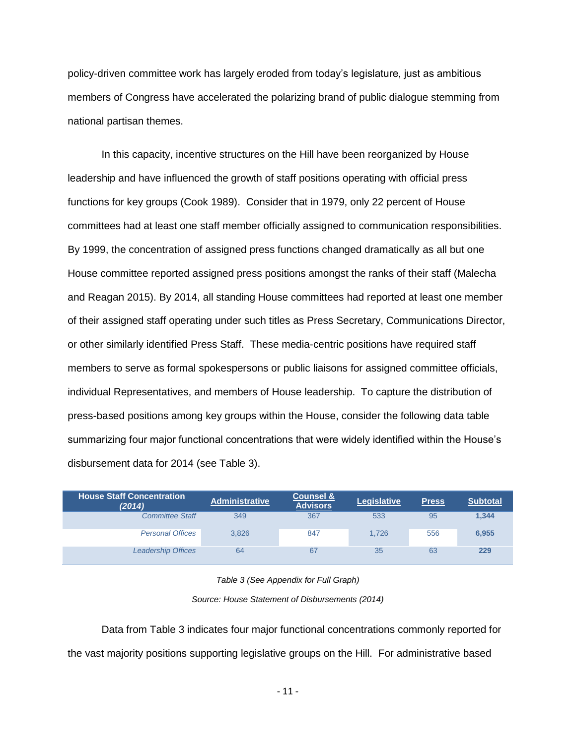policy-driven committee work has largely eroded from today's legislature, just as ambitious members of Congress have accelerated the polarizing brand of public dialogue stemming from national partisan themes.

In this capacity, incentive structures on the Hill have been reorganized by House leadership and have influenced the growth of staff positions operating with official press functions for key groups (Cook 1989). Consider that in 1979, only 22 percent of House committees had at least one staff member officially assigned to communication responsibilities. By 1999, the concentration of assigned press functions changed dramatically as all but one House committee reported assigned press positions amongst the ranks of their staff (Malecha and Reagan 2015). By 2014, all standing House committees had reported at least one member of their assigned staff operating under such titles as Press Secretary, Communications Director, or other similarly identified Press Staff. These media-centric positions have required staff members to serve as formal spokespersons or public liaisons for assigned committee officials, individual Representatives, and members of House leadership. To capture the distribution of press-based positions among key groups within the House, consider the following data table summarizing four major functional concentrations that were widely identified within the House's disbursement data for 2014 (see Table 3).

| <b>House Staff Concentration</b><br>(2014) | <b>Administrative</b> | <b>Counsel &amp;</b><br><b>Advisors</b> | <b>Legislative</b> | <b>Press</b> | <b>Subtotal</b> |
|--------------------------------------------|-----------------------|-----------------------------------------|--------------------|--------------|-----------------|
| <b>Committee Staff</b>                     | 349                   | 367                                     | 533                | 95           | 1,344           |
| <b>Personal Offices</b>                    | 3.826                 | 847                                     | 1.726              | 556          | 6.955           |
| <b>Leadership Offices</b>                  | 64                    | 67                                      | 35                 | 63           | 229             |

*Table 3 (See Appendix for Full Graph)*

*Source: House Statement of Disbursements (2014)*

Data from Table 3 indicates four major functional concentrations commonly reported for the vast majority positions supporting legislative groups on the Hill. For administrative based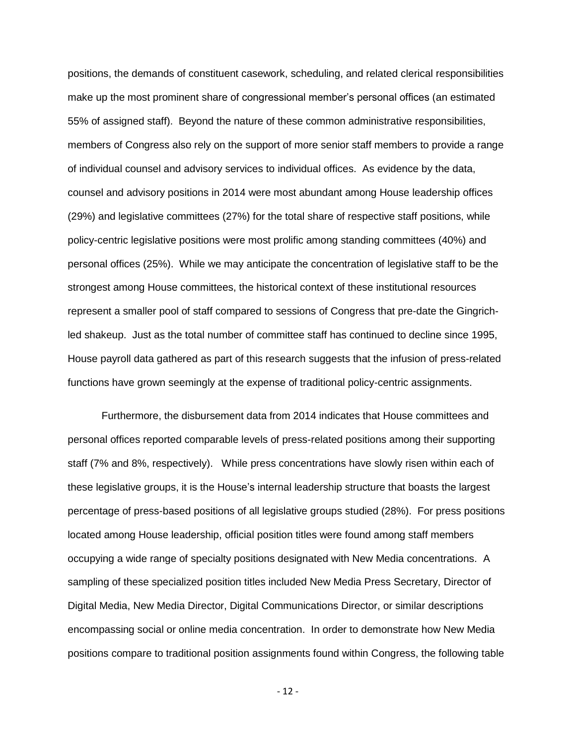positions, the demands of constituent casework, scheduling, and related clerical responsibilities make up the most prominent share of congressional member's personal offices (an estimated 55% of assigned staff). Beyond the nature of these common administrative responsibilities, members of Congress also rely on the support of more senior staff members to provide a range of individual counsel and advisory services to individual offices. As evidence by the data, counsel and advisory positions in 2014 were most abundant among House leadership offices (29%) and legislative committees (27%) for the total share of respective staff positions, while policy-centric legislative positions were most prolific among standing committees (40%) and personal offices (25%). While we may anticipate the concentration of legislative staff to be the strongest among House committees, the historical context of these institutional resources represent a smaller pool of staff compared to sessions of Congress that pre-date the Gingrichled shakeup. Just as the total number of committee staff has continued to decline since 1995, House payroll data gathered as part of this research suggests that the infusion of press-related functions have grown seemingly at the expense of traditional policy-centric assignments.

Furthermore, the disbursement data from 2014 indicates that House committees and personal offices reported comparable levels of press-related positions among their supporting staff (7% and 8%, respectively). While press concentrations have slowly risen within each of these legislative groups, it is the House's internal leadership structure that boasts the largest percentage of press-based positions of all legislative groups studied (28%). For press positions located among House leadership, official position titles were found among staff members occupying a wide range of specialty positions designated with New Media concentrations. A sampling of these specialized position titles included New Media Press Secretary, Director of Digital Media, New Media Director, Digital Communications Director, or similar descriptions encompassing social or online media concentration. In order to demonstrate how New Media positions compare to traditional position assignments found within Congress, the following table

- 12 -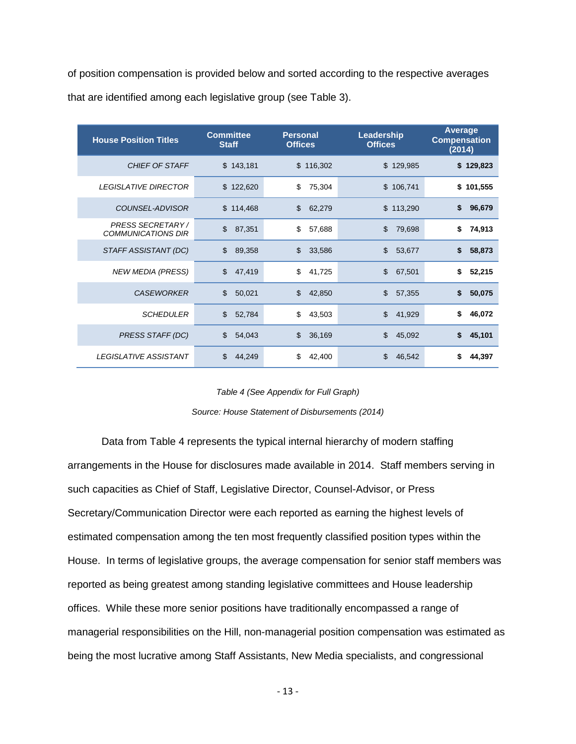of position compensation is provided below and sorted according to the respective averages that are identified among each legislative group (see Table 3).

| <b>House Position Titles</b> | <b>Committee</b><br><b>Staff</b> | <b>Personal</b><br><b>Offices</b> | Leadership<br><b>Offices</b> | <b>Average</b><br><b>Compensation</b><br>(2014) |  |
|------------------------------|----------------------------------|-----------------------------------|------------------------------|-------------------------------------------------|--|
| CHIEF OF STAFF               | \$143,181                        | \$116,302                         | \$129,985                    | \$129,823                                       |  |
| <b>LEGISLATIVE DIRECTOR</b>  | \$122,620                        | \$<br>75,304                      | \$106,741                    | \$101,555                                       |  |
| COUNSEL-ADVISOR              | \$114,468                        | \$<br>62,279                      | \$113,290                    | \$<br>96,679                                    |  |
| <b>PRESS SECRETARY/</b>      | \$                               | \$                                | \$                           | \$                                              |  |
| <b>COMMUNICATIONS DIR</b>    | 87,351                           | 57,688                            | 79,698                       | 74,913                                          |  |
| STAFF ASSISTANT (DC)         | \$                               | \$                                | \$                           | 58,873                                          |  |
|                              | 89,358                           | 33,586                            | 53,677                       | \$                                              |  |
| <b>NEW MEDIA (PRESS)</b>     | \$                               | \$                                | \$                           | \$                                              |  |
|                              | 47,419                           | 41,725                            | 67,501                       | 52,215                                          |  |
| <b>CASEWORKER</b>            | \$                               | \$                                | \$                           | \$                                              |  |
|                              | 50,021                           | 42,850                            | 57,355                       | 50,075                                          |  |
| <b>SCHEDULER</b>             | \$                               | \$                                | \$                           | \$                                              |  |
|                              | 52,784                           | 43,503                            | 41,929                       | 46,072                                          |  |
| PRESS STAFF (DC)             | \$                               | \$                                | \$                           | 45,101                                          |  |
|                              | 54,043                           | 36,169                            | 45,092                       | S                                               |  |
| LEGISLATIVE ASSISTANT        | \$                               | \$                                | \$                           | 44,397                                          |  |
|                              | 44,249                           | 42,400                            | 46,542                       | S                                               |  |

#### *Table 4 (See Appendix for Full Graph)*

*Source: House Statement of Disbursements (2014)*

Data from Table 4 represents the typical internal hierarchy of modern staffing arrangements in the House for disclosures made available in 2014. Staff members serving in such capacities as Chief of Staff, Legislative Director, Counsel-Advisor, or Press Secretary/Communication Director were each reported as earning the highest levels of estimated compensation among the ten most frequently classified position types within the House. In terms of legislative groups, the average compensation for senior staff members was reported as being greatest among standing legislative committees and House leadership offices. While these more senior positions have traditionally encompassed a range of managerial responsibilities on the Hill, non-managerial position compensation was estimated as being the most lucrative among Staff Assistants, New Media specialists, and congressional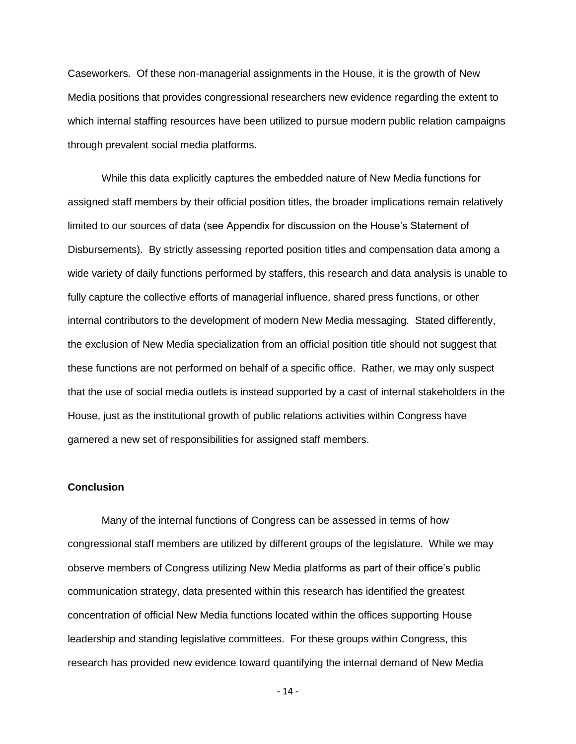Caseworkers. Of these non-managerial assignments in the House, it is the growth of New Media positions that provides congressional researchers new evidence regarding the extent to which internal staffing resources have been utilized to pursue modern public relation campaigns through prevalent social media platforms.

While this data explicitly captures the embedded nature of New Media functions for assigned staff members by their official position titles, the broader implications remain relatively limited to our sources of data (see Appendix for discussion on the House's Statement of Disbursements). By strictly assessing reported position titles and compensation data among a wide variety of daily functions performed by staffers, this research and data analysis is unable to fully capture the collective efforts of managerial influence, shared press functions, or other internal contributors to the development of modern New Media messaging. Stated differently, the exclusion of New Media specialization from an official position title should not suggest that these functions are not performed on behalf of a specific office. Rather, we may only suspect that the use of social media outlets is instead supported by a cast of internal stakeholders in the House, just as the institutional growth of public relations activities within Congress have garnered a new set of responsibilities for assigned staff members.

### **Conclusion**

Many of the internal functions of Congress can be assessed in terms of how congressional staff members are utilized by different groups of the legislature. While we may observe members of Congress utilizing New Media platforms as part of their office's public communication strategy, data presented within this research has identified the greatest concentration of official New Media functions located within the offices supporting House leadership and standing legislative committees. For these groups within Congress, this research has provided new evidence toward quantifying the internal demand of New Media

- 14 -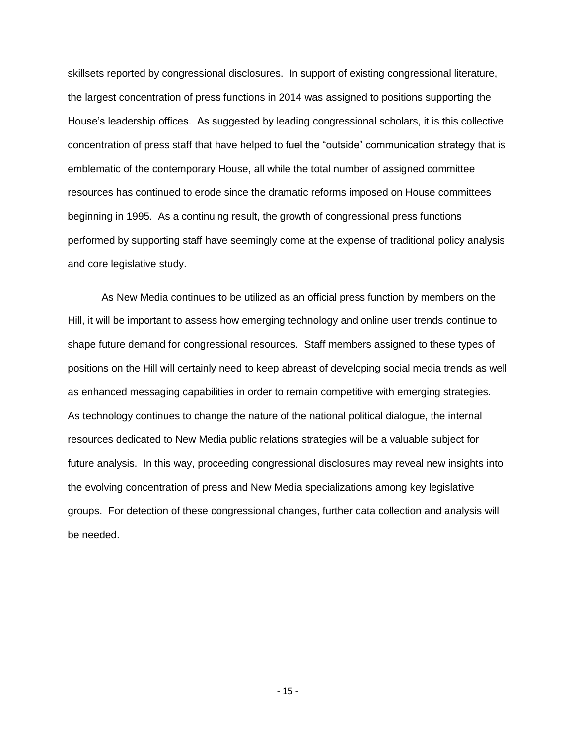skillsets reported by congressional disclosures. In support of existing congressional literature, the largest concentration of press functions in 2014 was assigned to positions supporting the House's leadership offices. As suggested by leading congressional scholars, it is this collective concentration of press staff that have helped to fuel the "outside" communication strategy that is emblematic of the contemporary House, all while the total number of assigned committee resources has continued to erode since the dramatic reforms imposed on House committees beginning in 1995. As a continuing result, the growth of congressional press functions performed by supporting staff have seemingly come at the expense of traditional policy analysis and core legislative study.

As New Media continues to be utilized as an official press function by members on the Hill, it will be important to assess how emerging technology and online user trends continue to shape future demand for congressional resources. Staff members assigned to these types of positions on the Hill will certainly need to keep abreast of developing social media trends as well as enhanced messaging capabilities in order to remain competitive with emerging strategies. As technology continues to change the nature of the national political dialogue, the internal resources dedicated to New Media public relations strategies will be a valuable subject for future analysis. In this way, proceeding congressional disclosures may reveal new insights into the evolving concentration of press and New Media specializations among key legislative groups. For detection of these congressional changes, further data collection and analysis will be needed.

- 15 -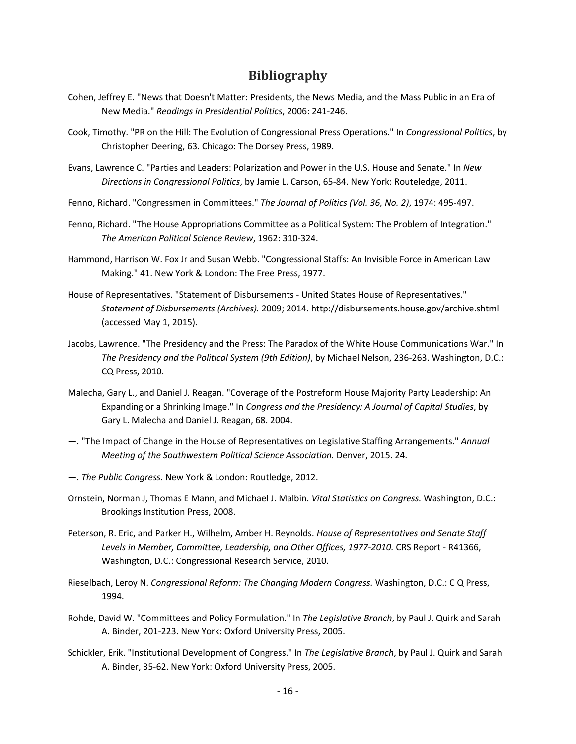# **Bibliography**

- Cohen, Jeffrey E. "News that Doesn't Matter: Presidents, the News Media, and the Mass Public in an Era of New Media." *Readings in Presidential Politics*, 2006: 241-246.
- Cook, Timothy. "PR on the Hill: The Evolution of Congressional Press Operations." In *Congressional Politics*, by Christopher Deering, 63. Chicago: The Dorsey Press, 1989.
- Evans, Lawrence C. "Parties and Leaders: Polarization and Power in the U.S. House and Senate." In *New Directions in Congressional Politics*, by Jamie L. Carson, 65-84. New York: Routeledge, 2011.
- Fenno, Richard. "Congressmen in Committees." *The Journal of Politics (Vol. 36, No. 2)*, 1974: 495-497.
- Fenno, Richard. "The House Appropriations Committee as a Political System: The Problem of Integration." *The American Political Science Review*, 1962: 310-324.
- Hammond, Harrison W. Fox Jr and Susan Webb. "Congressional Staffs: An Invisible Force in American Law Making." 41. New York & London: The Free Press, 1977.
- House of Representatives. "Statement of Disbursements United States House of Representatives." *Statement of Disbursements (Archives).* 2009; 2014. http://disbursements.house.gov/archive.shtml (accessed May 1, 2015).
- Jacobs, Lawrence. "The Presidency and the Press: The Paradox of the White House Communications War." In *The Presidency and the Political System (9th Edition)*, by Michael Nelson, 236-263. Washington, D.C.: CQ Press, 2010.
- Malecha, Gary L., and Daniel J. Reagan. "Coverage of the Postreform House Majority Party Leadership: An Expanding or a Shrinking Image." In *Congress and the Presidency: A Journal of Capital Studies*, by Gary L. Malecha and Daniel J. Reagan, 68. 2004.
- —. "The Impact of Change in the House of Representatives on Legislative Staffing Arrangements." *Annual Meeting of the Southwestern Political Science Association.* Denver, 2015. 24.
- —. *The Public Congress.* New York & London: Routledge, 2012.
- Ornstein, Norman J, Thomas E Mann, and Michael J. Malbin. *Vital Statistics on Congress.* Washington, D.C.: Brookings Institution Press, 2008.
- Peterson, R. Eric, and Parker H., Wilhelm, Amber H. Reynolds. *House of Representatives and Senate Staff Levels in Member, Committee, Leadership, and Other Offices, 1977-2010.* CRS Report - R41366, Washington, D.C.: Congressional Research Service, 2010.
- Rieselbach, Leroy N. *Congressional Reform: The Changing Modern Congress.* Washington, D.C.: C Q Press, 1994.
- Rohde, David W. "Committees and Policy Formulation." In *The Legislative Branch*, by Paul J. Quirk and Sarah A. Binder, 201-223. New York: Oxford University Press, 2005.
- Schickler, Erik. "Institutional Development of Congress." In *The Legislative Branch*, by Paul J. Quirk and Sarah A. Binder, 35-62. New York: Oxford University Press, 2005.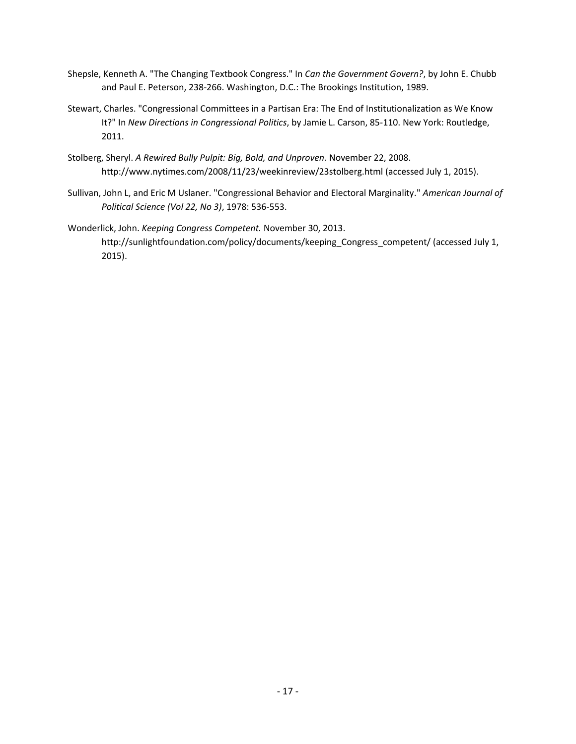- Shepsle, Kenneth A. "The Changing Textbook Congress." In *Can the Government Govern?*, by John E. Chubb and Paul E. Peterson, 238-266. Washington, D.C.: The Brookings Institution, 1989.
- Stewart, Charles. "Congressional Committees in a Partisan Era: The End of Institutionalization as We Know It?" In *New Directions in Congressional Politics*, by Jamie L. Carson, 85-110. New York: Routledge, 2011.
- Stolberg, Sheryl. *A Rewired Bully Pulpit: Big, Bold, and Unproven.* November 22, 2008. http://www.nytimes.com/2008/11/23/weekinreview/23stolberg.html (accessed July 1, 2015).
- Sullivan, John L, and Eric M Uslaner. "Congressional Behavior and Electoral Marginality." *American Journal of Political Science (Vol 22, No 3)*, 1978: 536-553.
- Wonderlick, John. *Keeping Congress Competent.* November 30, 2013. http://sunlightfoundation.com/policy/documents/keeping\_Congress\_competent/ (accessed July 1, 2015).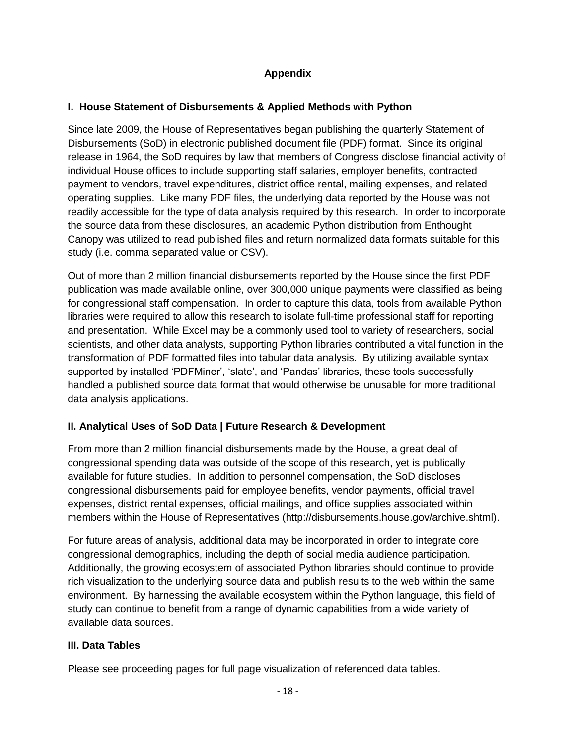# **Appendix**

## **I. House Statement of Disbursements & Applied Methods with Python**

Since late 2009, the House of Representatives began publishing the quarterly Statement of Disbursements (SoD) in electronic published document file (PDF) format. Since its original release in 1964, the SoD requires by law that members of Congress disclose financial activity of individual House offices to include supporting staff salaries, employer benefits, contracted payment to vendors, travel expenditures, district office rental, mailing expenses, and related operating supplies. Like many PDF files, the underlying data reported by the House was not readily accessible for the type of data analysis required by this research. In order to incorporate the source data from these disclosures, an academic Python distribution from Enthought Canopy was utilized to read published files and return normalized data formats suitable for this study (i.e. comma separated value or CSV).

Out of more than 2 million financial disbursements reported by the House since the first PDF publication was made available online, over 300,000 unique payments were classified as being for congressional staff compensation. In order to capture this data, tools from available Python libraries were required to allow this research to isolate full-time professional staff for reporting and presentation. While Excel may be a commonly used tool to variety of researchers, social scientists, and other data analysts, supporting Python libraries contributed a vital function in the transformation of PDF formatted files into tabular data analysis. By utilizing available syntax supported by installed 'PDFMiner', 'slate', and 'Pandas' libraries, these tools successfully handled a published source data format that would otherwise be unusable for more traditional data analysis applications.

# **II. Analytical Uses of SoD Data | Future Research & Development**

From more than 2 million financial disbursements made by the House, a great deal of congressional spending data was outside of the scope of this research, yet is publically available for future studies. In addition to personnel compensation, the SoD discloses congressional disbursements paid for employee benefits, vendor payments, official travel expenses, district rental expenses, official mailings, and office supplies associated within members within the House of Representatives (http://disbursements.house.gov/archive.shtml).

For future areas of analysis, additional data may be incorporated in order to integrate core congressional demographics, including the depth of social media audience participation. Additionally, the growing ecosystem of associated Python libraries should continue to provide rich visualization to the underlying source data and publish results to the web within the same environment. By harnessing the available ecosystem within the Python language, this field of study can continue to benefit from a range of dynamic capabilities from a wide variety of available data sources.

# **III. Data Tables**

Please see proceeding pages for full page visualization of referenced data tables.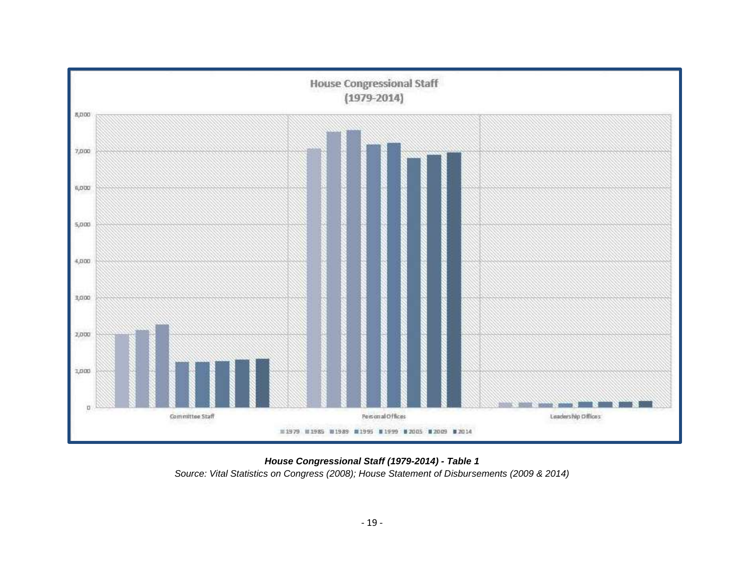

*House Congressional Staff (1979-2014) - Table 1 Source: Vital Statistics on Congress (2008); House Statement of Disbursements (2009 & 2014)*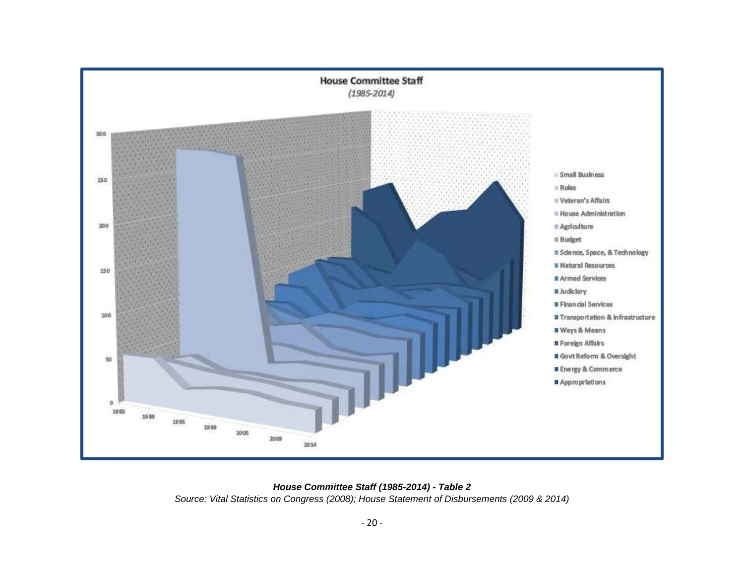

*House Committee Staff (1985-2014) - Table 2*

*Source: Vital Statistics on Congress (2008); House Statement of Disbursements (2009 & 2014)*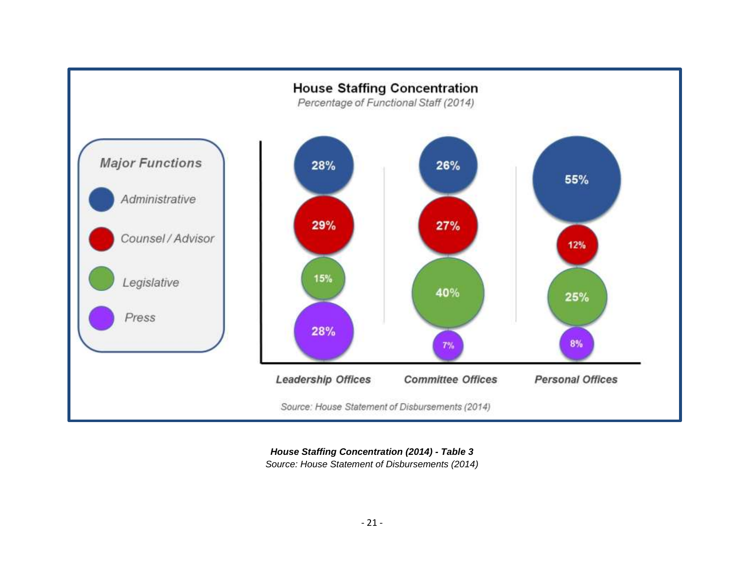

*House Staffing Concentration (2014) - Table 3 Source: House Statement of Disbursements (2014)*